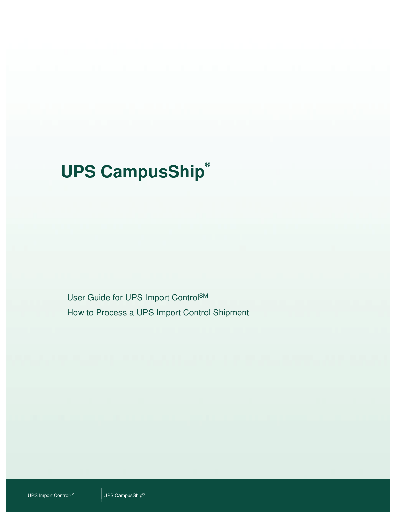# **UPS CampusShip®**

User Guide for UPS Import ControlSM How to Process a UPS Import Control Shipment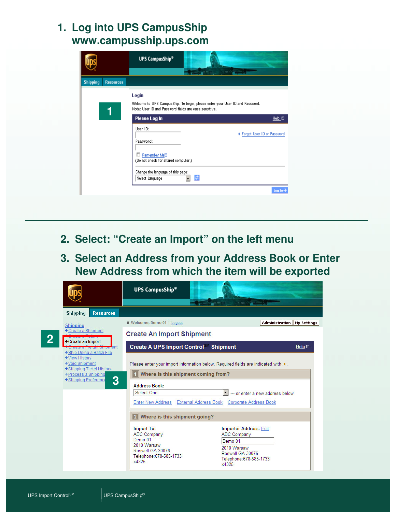## **1. Log into UPS CampusShip www.campusship.ups.com**

|                                     | <b>UPS CampusShip®</b>                                         |                                                                               |
|-------------------------------------|----------------------------------------------------------------|-------------------------------------------------------------------------------|
| <b>Shipping</b><br><b>Resources</b> |                                                                |                                                                               |
|                                     | Login<br>Note: User ID and Password fields are case sensitive. | Welcome to UPS Campus Ship. To begin, please enter your User ID and Password. |
|                                     | Please Log In                                                  | $Heip$ $\Box$                                                                 |
|                                     | User ID:<br>Password:                                          | Forgot User ID or Password                                                    |
|                                     | Remember Mem<br>п.<br>(Do not check for shared computer.)      |                                                                               |
|                                     | Change the language of this page:<br>Select Language           | ø                                                                             |
|                                     |                                                                | $Log In-$                                                                     |

- **2. Select: "Create an Import" on the left menu**
- **3. Select an Address from your Address Book or Enter New Address from which the item will be exported**

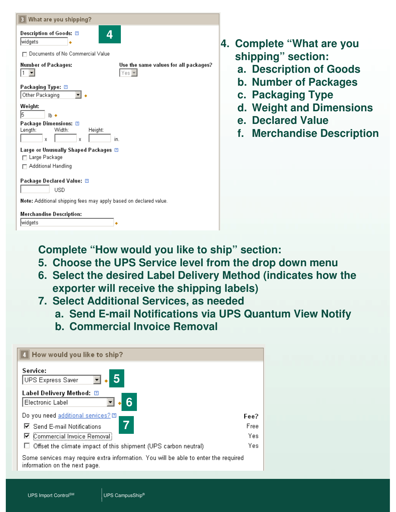| 3 What are you shipping?                                                                                                |  |  |  |  |
|-------------------------------------------------------------------------------------------------------------------------|--|--|--|--|
| Description of Goods: 2<br>4<br>widgets                                                                                 |  |  |  |  |
| Documents of No Commercial Value                                                                                        |  |  |  |  |
| Use the same values for all packages?<br>Number of Packages:<br>$Yes =$                                                 |  |  |  |  |
| Packaging Type: <b>⊡</b><br>Other Packaging                                                                             |  |  |  |  |
| Weight:<br>5<br>$\mathbf{h}$ $\bullet$<br>Package Dimensions: 2<br>Width:<br>Length:<br>Height:<br>in.<br>x<br>X        |  |  |  |  |
| Large or Unusually Shaped Packages <b>E</b><br>□ Large Package<br><b>Additional Handling</b>                            |  |  |  |  |
| Package Declared Value: <b>図</b><br><b>USD</b>                                                                          |  |  |  |  |
| <b>Note:</b> Additional shipping fees may apply based on declared value.<br><b>Merchandise Description:</b><br> widgets |  |  |  |  |

- **4. Complete "What are you shipping" section:**
	- **a. Description of Goods**
	- **b. Number of Packages**
	- **c. Packaging Type**
	- **d. Weight and Dimensions**
	- **e. Declared Value**
	- **f. Merchandise Description**

**Complete "How would you like to ship" section:**

- **5. Choose the UPS Service level from the drop down menu**
- **6. Select the desired Label Delivery Method (indicates how the exporter will receive the shipping labels)**
- **7. Select Additional Services, as needed**
	- **a. Send E-mail Notifications via UPS Quantum View Notify**
	- **b. Commercial Invoice Removal**

| How would you like to ship?                                                                                          |      |
|----------------------------------------------------------------------------------------------------------------------|------|
| Service:<br><b>UPS Express Saver</b>                                                                                 |      |
| Label Delivery Method: ②<br>Electronic Label                                                                         |      |
| Do you need additional services? [Σ]                                                                                 | Fee? |
| Send E-mail Notifications                                                                                            | Free |
| ☑ Commercial Invoice Removal                                                                                         | Yes  |
| Offset the climate impact of this shipment (UPS carbon neutral)                                                      | Yes  |
| Some services may require extra information. You will be able to enter the required<br>information on the next page. |      |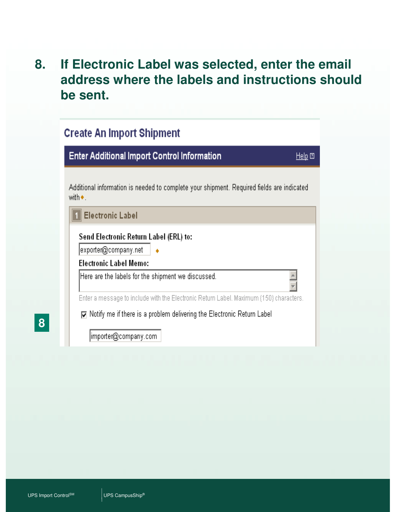# **8. If Electronic Label was selected, enter the email address where the labels and instructions should be sent.**

| <b>Create An Import Shipment</b>                                                                              |               |  |  |  |
|---------------------------------------------------------------------------------------------------------------|---------------|--|--|--|
| <b>Enter Additional Import Control Information</b>                                                            | $Help$ $\Box$ |  |  |  |
| Additional information is needed to complete your shipment. Required fields are indicated<br>with $\bullet$ . |               |  |  |  |
| <b>Electronic Label</b>                                                                                       |               |  |  |  |
| Send Electronic Return Label (ERL) to:                                                                        |               |  |  |  |
| exporter@companγ.net                                                                                          |               |  |  |  |
| <b>Electronic Label Memo:</b>                                                                                 |               |  |  |  |
| Here are the labels for the shipment we discussed.                                                            |               |  |  |  |
| Enter a message to include with the Electronic Return Label. Maximum {150} characters.                        |               |  |  |  |
| $\nabla$ Notify me if there is a problem delivering the Electronic Return Label                               |               |  |  |  |
| importer@company.com                                                                                          |               |  |  |  |

**8**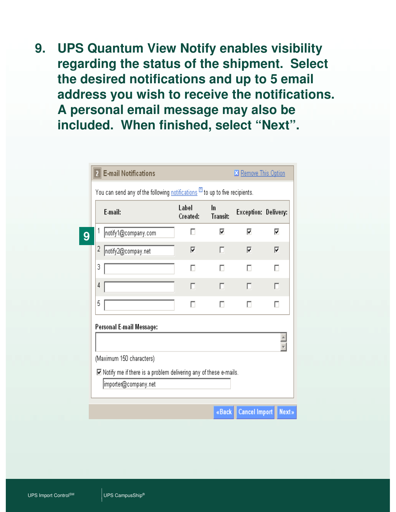**9. UPS Quantum View Notify enables visibility regarding the status of the shipment. Select the desired notifications and up to 5 email address you wish to receive the notifications. A personal email message may also be included. When finished, select "Next".**

|                          | E-mail:             | Label<br>Created: | In<br><b>Transit:</b> | Exception: Delivery: |   |
|--------------------------|---------------------|-------------------|-----------------------|----------------------|---|
| 1                        | notify1@company.com | П                 | ⊽                     | ⊽                    | ⊽ |
| $\overline{c}$           | notify2@compay.net  | ⊽                 | п                     | ⊽                    | ⊽ |
| 3                        |                     | г                 |                       |                      |   |
| 4                        |                     | п                 | п                     | п                    | П |
| 5                        |                     | п                 |                       |                      | п |
| Personal E-mail Message: |                     |                   |                       |                      |   |

«Back **Cancel Import Next»**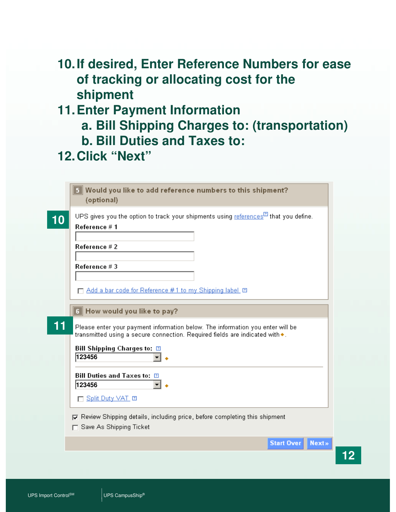# **10.If desired, Enter Reference Numbers for ease of tracking or allocating cost for the shipment**

# **11.Enter Payment Information**

- **a. Bill Shipping Charges to: (transportation)**
- **b. Bill Duties and Taxes to:**
- **12.Click "Next"**

|    | Would you like to add reference numbers to this shipment?<br>(optional)                                                                                        |
|----|----------------------------------------------------------------------------------------------------------------------------------------------------------------|
| 10 | UPS gives you the option to track your shipments using $references^{[2]}$ that you define.<br>Reference # 1                                                    |
|    | Reference # 2                                                                                                                                                  |
|    | Reference #3                                                                                                                                                   |
|    | □ Add a bar code for Reference #1 to my Shipping label [2]                                                                                                     |
|    | 6 How would you like to pay?                                                                                                                                   |
| 11 | Please enter your payment information below. The information you enter will be<br>transmitted using a secure connection. Required fields are indicated with ◆. |
|    | Bill Shipping Charges to: $\Box$<br>123456                                                                                                                     |
|    | Bill Duties and Taxes to: 2<br>123456                                                                                                                          |
|    | □ Split Duty VAT □                                                                                                                                             |
|    | $\nabla$ Review Shipping details, including price, before completing this shipment<br>Save As Shipping Ticket                                                  |
|    | <b>Start Over</b><br><b>Next»</b>                                                                                                                              |

**12**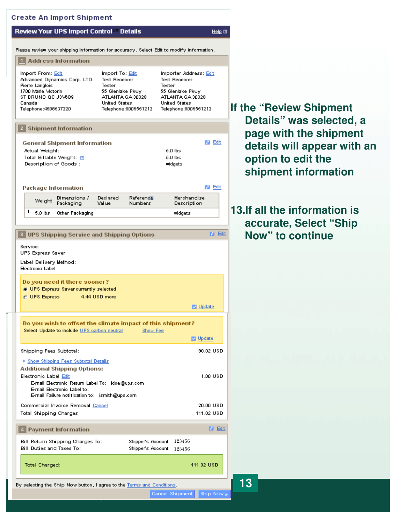#### **Create An Import Shipment**

#### Review Your UPS Import Control Details

 $Heip$   $\Box$ 

**M** Edit

Please review your shipping information for accuracy. Select Edit to modify information.

#### 1 Address Information

| Import From: Edit            | Import To: Edit      | Importer Address: Edit |
|------------------------------|----------------------|------------------------|
| Advanced Dynamics Corp. LTD. | <b>Test Receiver</b> | <b>Test Receiver</b>   |
| Pierre Langlois              | Tester               | Tester                 |
| 1700 Marie Mctorin           | 55 Glenlake Pkwy     | 55 Glenlake Pkwy       |
| ST BRUNO QC J3\6B9           | ATLANTA GA 30328     | ATLANTA GA 30328       |
| Canada                       | <b>United States</b> | <b>United States</b>   |
| Telephone: 4506537220        | Telephone:8005551212 | Telephone:8005551212   |

#### 2 Shipment Information

| <b>General Shipment Information</b> |         | Edit |
|-------------------------------------|---------|------|
| Actual Weight:                      | 5.0 lbs |      |
| Total Billable Weight: 面            | 5.0 lbs |      |
| Description of Goods:               | widgets |      |

### **Package Information**

|  | Dimensions /<br>Weight Packaging | Value | Reference<br><b>Numbers</b> | Merchandise<br>Description |
|--|----------------------------------|-------|-----------------------------|----------------------------|
|  | $1 - 5.0$ lbs Other Packaging    |       |                             | widgets                    |

#### **D** Edit 8 UPS Shipping Service and Shipping Options Service: UPS Express Saver Label Delivery Method: **Bectronic Label** Do you need it there sooner? UPS Express Saver currently selected @ UPS Express 4.44 USD more **D** Update Do you wish to offset the climate impact of this shipment? Select Update to include UPS carbon neutral Show Fee Update Shipping Fees Subtotal: 90.02 USD ▶ Show Shipping Fees Subtotal Details **Additional Shipping Options:** 1.00 USD Electronic Label Edit E-mail Electronic Return Label To: jdoe@ups.com E-mail Electronic Label to: E-mail Failure notification to: jsmith@ups.com 20.00 USD Commercial Invoice Removal Cancel 111.02 USD **Total Shipping Charges M** Edit 4 Payment Information Shipper's Account 123456 Bill Return Shipping Charges To: Bill Duties and Taxes To: Shipper's Account 123456 111.02 USD Total Charged:

### **If the "Review Shipment Details" was selected, a page with the shipment details will appear with an option to edit the shipment information**

### **13.If all the information is accurate, Select "Ship Now" to continue**

By selecting the Ship Now button, I agree to the Terms and Conditions.

Cancel Shipment Ship Now » **13**